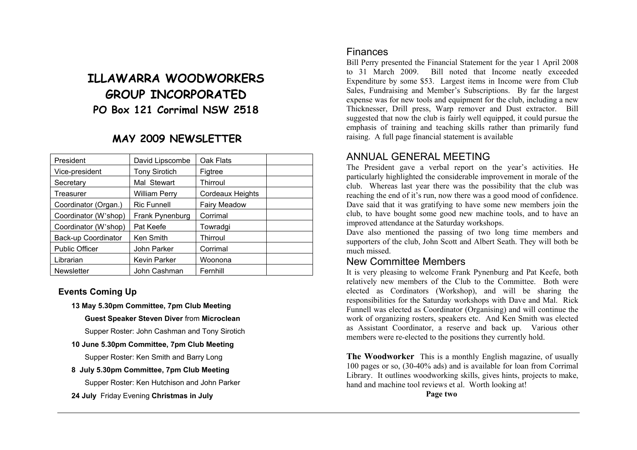# **ILLAWARRA WOODWORKERS GROUP INCORPORATED PO Box 121 Corrimal NSW 2518**

## **MAY 2009 NEWSLETTER**

| President             | David Lipscombe      | Oak Flats           |  |
|-----------------------|----------------------|---------------------|--|
| Vice-president        | <b>Tony Sirotich</b> | Figtree             |  |
| Secretary             | Mal Stewart          | Thirroul            |  |
| Treasurer             | William Perry        | Cordeaux Heights    |  |
| Coordinator (Organ.)  | <b>Ric Funnell</b>   | <b>Fairy Meadow</b> |  |
| Coordinator (W'shop)  | Frank Pynenburg      | Corrimal            |  |
| Coordinator (W'shop)  | Pat Keefe            | Towradgi            |  |
| Back-up Coordinator   | Ken Smith            | Thirroul            |  |
| <b>Public Officer</b> | John Parker          | Corrimal            |  |
| Librarian             | <b>Kevin Parker</b>  | Woonona             |  |
| <b>Newsletter</b>     | John Cashman         | Fernhill            |  |
|                       |                      |                     |  |

#### **Events Coming Up**

**13 May 5.30pm Committee, 7pm Club Meeting** 

 **Guest Speaker Steven Diver** from **Microclean** 

Supper Roster: John Cashman and Tony Sirotich

#### **10 June 5.30pm Committee, 7pm Club Meeting**

Supper Roster: Ken Smith and Barry Long

**8 July 5.30pm Committee, 7pm Club Meeting** 

Supper Roster: Ken Hutchison and John Parker

**24 July** Friday Evening **Christmas in July**

### Finances

Bill Perry presented the Financial Statement for the year 1 April 2008 to 31 March 2009. Bill noted that Income neatly exceeded Expenditure by some \$53. Largest items in Income were from Club Sales, Fundraising and Member's Subscriptions. By far the largest expense was for new tools and equipment for the club, including a new Thicknesser, Drill press, Warp remover and Dust extractor. Bill suggested that now the club is fairly well equipped, it could pursue the emphasis of training and teaching skills rather than primarily fund raising. A full page financial statement is available

## ANNUAL GENERAL MEETING

The President gave a verbal report on the year's activities. He particularly highlighted the considerable improvement in morale of the club. Whereas last year there was the possibility that the club was reaching the end of it's run, now there was a good mood of confidence. Dave said that it was gratifying to have some new members join the club, to have bought some good new machine tools, and to have an improved attendance at the Saturday workshops.

Dave also mentioned the passing of two long time members and supporters of the club, John Scott and Albert Seath. They will both be much missed.

#### New Committee Members

It is very pleasing to welcome Frank Pynenburg and Pat Keefe, both relatively new members of the Club to the Committee. Both were elected as Cordinators (Workshop), and will be sharing the responsibilities for the Saturday workshops with Dave and Mal. Rick Funnell was elected as Coordinator (Organising) and will continue the work of organizing rosters, speakers etc. And Ken Smith was elected as Assistant Coordinator, a reserve and back up. Various other members were re-elected to the positions they currently hold.

**The Woodworker** This is a monthly English magazine, of usually 100 pages or so, (30-40% ads) and is available for loan from Corrimal Library. It outlines woodworking skills, gives hints, projects to make, hand and machine tool reviews et al. Worth looking at!

**Page two**